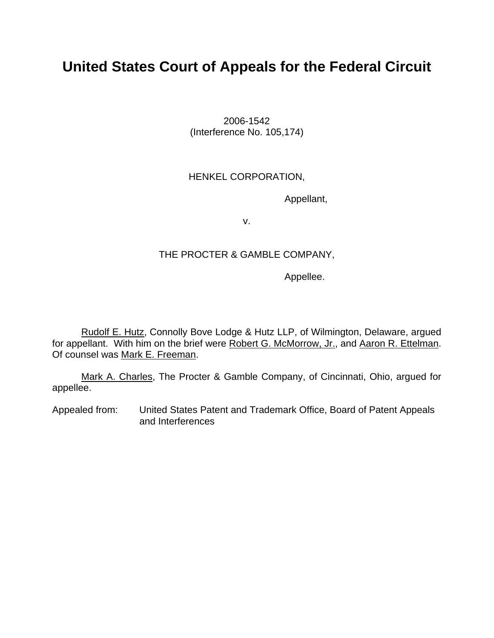# **United States Court of Appeals for the Federal Circuit**

2006-1542 (Interference No. 105,174)

# HENKEL CORPORATION,

Appellant,

v.

# THE PROCTER & GAMBLE COMPANY,

Appellee.

Rudolf E. Hutz, Connolly Bove Lodge & Hutz LLP, of Wilmington, Delaware, argued for appellant. With him on the brief were Robert G. McMorrow, Jr., and Aaron R. Ettelman. Of counsel was Mark E. Freeman.

Mark A. Charles, The Procter & Gamble Company, of Cincinnati, Ohio, argued for appellee.

Appealed from: United States Patent and Trademark Office, Board of Patent Appeals and Interferences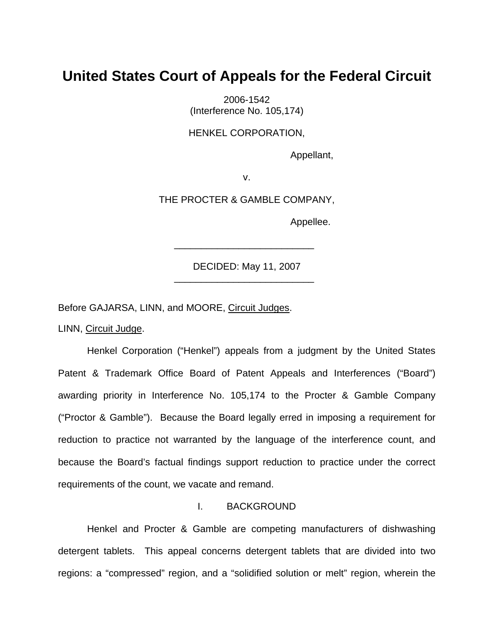# **United States Court of Appeals for the Federal Circuit**

2006-1542 (Interference No. 105,174)

HENKEL CORPORATION,

Appellant,

v.

THE PROCTER & GAMBLE COMPANY,

Appellee.

DECIDED: May 11, 2007

Before GAJARSA, LINN, and MOORE, Circuit Judges.

\_\_\_\_\_\_\_\_\_\_\_\_\_\_\_\_\_\_\_\_\_\_\_\_\_\_

 $\frac{1}{2}$  , and the set of the set of the set of the set of the set of the set of the set of the set of the set of the set of the set of the set of the set of the set of the set of the set of the set of the set of the set

LINN, Circuit Judge.

Henkel Corporation ("Henkel") appeals from a judgment by the United States Patent & Trademark Office Board of Patent Appeals and Interferences ("Board") awarding priority in Interference No. 105,174 to the Procter & Gamble Company ("Proctor & Gamble"). Because the Board legally erred in imposing a requirement for reduction to practice not warranted by the language of the interference count, and because the Board's factual findings support reduction to practice under the correct requirements of the count, we vacate and remand.

## I. BACKGROUND

Henkel and Procter & Gamble are competing manufacturers of dishwashing detergent tablets. This appeal concerns detergent tablets that are divided into two regions: a "compressed" region, and a "solidified solution or melt" region, wherein the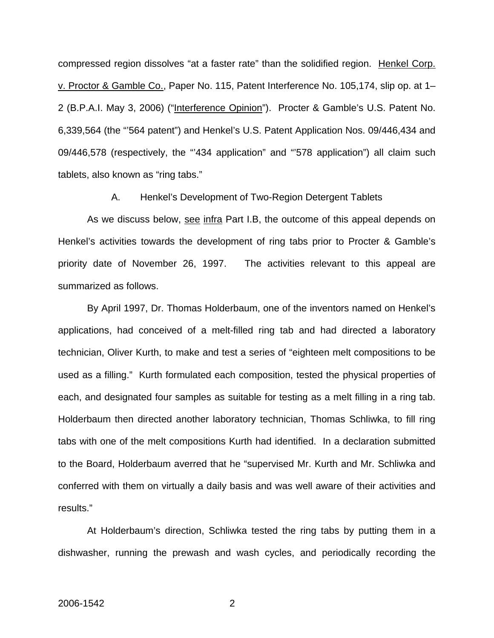compressed region dissolves "at a faster rate" than the solidified region. Henkel Corp. v. Proctor & Gamble Co., Paper No. 115, Patent Interference No. 105,174, slip op. at 1– 2 (B.P.A.I. May 3, 2006) ("Interference Opinion"). Procter & Gamble's U.S. Patent No. 6,339,564 (the "'564 patent") and Henkel's U.S. Patent Application Nos. 09/446,434 and 09/446,578 (respectively, the "434 application" and "578 application") all claim such tablets, also known as "ring tabs."

A. Henkel's Development of Two-Region Detergent Tablets

As we discuss below, see infra Part I.B, the outcome of this appeal depends on Henkel's activities towards the development of ring tabs prior to Procter & Gamble's priority date of November 26, 1997. The activities relevant to this appeal are summarized as follows.

By April 1997, Dr. Thomas Holderbaum, one of the inventors named on Henkel's applications, had conceived of a melt-filled ring tab and had directed a laboratory technician, Oliver Kurth, to make and test a series of "eighteen melt compositions to be used as a filling." Kurth formulated each composition, tested the physical properties of each, and designated four samples as suitable for testing as a melt filling in a ring tab. Holderbaum then directed another laboratory technician, Thomas Schliwka, to fill ring tabs with one of the melt compositions Kurth had identified. In a declaration submitted to the Board, Holderbaum averred that he "supervised Mr. Kurth and Mr. Schliwka and conferred with them on virtually a daily basis and was well aware of their activities and results."

At Holderbaum's direction, Schliwka tested the ring tabs by putting them in a dishwasher, running the prewash and wash cycles, and periodically recording the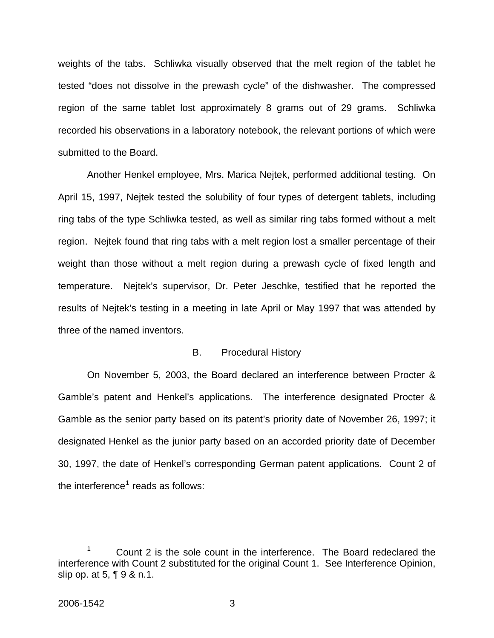weights of the tabs. Schliwka visually observed that the melt region of the tablet he tested "does not dissolve in the prewash cycle" of the dishwasher. The compressed region of the same tablet lost approximately 8 grams out of 29 grams. Schliwka recorded his observations in a laboratory notebook, the relevant portions of which were submitted to the Board.

Another Henkel employee, Mrs. Marica Nejtek, performed additional testing. On April 15, 1997, Nejtek tested the solubility of four types of detergent tablets, including ring tabs of the type Schliwka tested, as well as similar ring tabs formed without a melt region. Nejtek found that ring tabs with a melt region lost a smaller percentage of their weight than those without a melt region during a prewash cycle of fixed length and temperature. Nejtek's supervisor, Dr. Peter Jeschke, testified that he reported the results of Nejtek's testing in a meeting in late April or May 1997 that was attended by three of the named inventors.

#### B. Procedural History

On November 5, 2003, the Board declared an interference between Procter & Gamble's patent and Henkel's applications. The interference designated Procter & Gamble as the senior party based on its patent's priority date of November 26, 1997; it designated Henkel as the junior party based on an accorded priority date of December 30, 1997, the date of Henkel's corresponding German patent applications. Count 2 of the interference<sup>[1](#page-3-0)</sup> reads as follows:

 $\overline{a}$ 

<span id="page-3-0"></span><sup>1</sup> Count 2 is the sole count in the interference. The Board redeclared the interference with Count 2 substituted for the original Count 1. See Interference Opinion, slip op. at 5, ¶ 9 & n.1.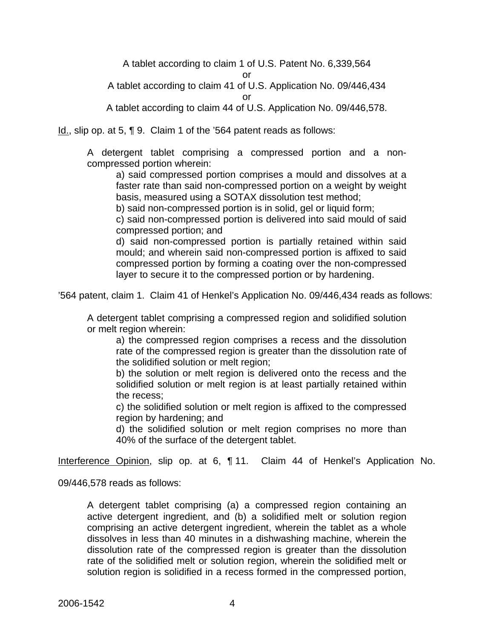A tablet according to claim 1 of U.S. Patent No. 6,339,564

or

A tablet according to claim 41 of U.S. Application No. 09/446,434

or

A tablet according to claim 44 of U.S. Application No. 09/446,578.

Id., slip op. at 5, ¶ 9. Claim 1 of the '564 patent reads as follows:

A detergent tablet comprising a compressed portion and a noncompressed portion wherein:

a) said compressed portion comprises a mould and dissolves at a faster rate than said non-compressed portion on a weight by weight basis, measured using a SOTAX dissolution test method;

b) said non-compressed portion is in solid, gel or liquid form;

c) said non-compressed portion is delivered into said mould of said compressed portion; and

d) said non-compressed portion is partially retained within said mould; and wherein said non-compressed portion is affixed to said compressed portion by forming a coating over the non-compressed layer to secure it to the compressed portion or by hardening.

'564 patent, claim 1. Claim 41 of Henkel's Application No. 09/446,434 reads as follows:

A detergent tablet comprising a compressed region and solidified solution or melt region wherein:

a) the compressed region comprises a recess and the dissolution rate of the compressed region is greater than the dissolution rate of the solidified solution or melt region;

b) the solution or melt region is delivered onto the recess and the solidified solution or melt region is at least partially retained within the recess;

c) the solidified solution or melt region is affixed to the compressed region by hardening; and

d) the solidified solution or melt region comprises no more than 40% of the surface of the detergent tablet.

Interference Opinion, slip op. at 6, ¶ 11. Claim 44 of Henkel's Application No.

09/446,578 reads as follows:

A detergent tablet comprising (a) a compressed region containing an active detergent ingredient, and (b) a solidified melt or solution region comprising an active detergent ingredient, wherein the tablet as a whole dissolves in less than 40 minutes in a dishwashing machine, wherein the dissolution rate of the compressed region is greater than the dissolution rate of the solidified melt or solution region, wherein the solidified melt or solution region is solidified in a recess formed in the compressed portion,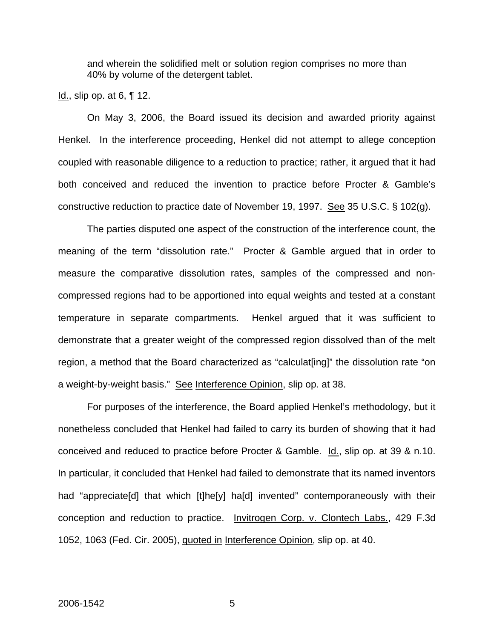and wherein the solidified melt or solution region comprises no more than 40% by volume of the detergent tablet.

<u>Id.,</u> slip op. at 6,  $\P$  12.

On May 3, 2006, the Board issued its decision and awarded priority against Henkel. In the interference proceeding, Henkel did not attempt to allege conception coupled with reasonable diligence to a reduction to practice; rather, it argued that it had both conceived and reduced the invention to practice before Procter & Gamble's constructive reduction to practice date of November 19, 1997. See 35 U.S.C. § 102(g).

The parties disputed one aspect of the construction of the interference count, the meaning of the term "dissolution rate." Procter & Gamble argued that in order to measure the comparative dissolution rates, samples of the compressed and noncompressed regions had to be apportioned into equal weights and tested at a constant temperature in separate compartments. Henkel argued that it was sufficient to demonstrate that a greater weight of the compressed region dissolved than of the melt region, a method that the Board characterized as "calculat[ing]" the dissolution rate "on a weight-by-weight basis." See Interference Opinion, slip op. at 38.

For purposes of the interference, the Board applied Henkel's methodology, but it nonetheless concluded that Henkel had failed to carry its burden of showing that it had conceived and reduced to practice before Procter & Gamble. Id., slip op. at 39 & n.10. In particular, it concluded that Henkel had failed to demonstrate that its named inventors had "appreciate[d] that which [t]he[y] ha[d] invented" contemporaneously with their conception and reduction to practice. Invitrogen Corp. v. Clontech Labs., 429 F.3d 1052, 1063 (Fed. Cir. 2005), quoted in Interference Opinion, slip op. at 40.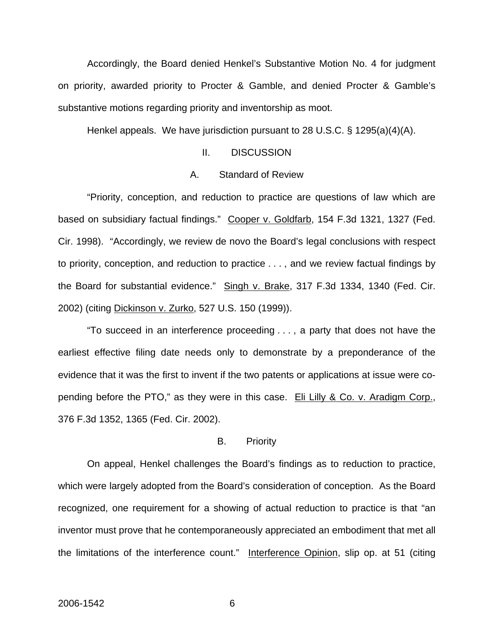Accordingly, the Board denied Henkel's Substantive Motion No. 4 for judgment on priority, awarded priority to Procter & Gamble, and denied Procter & Gamble's substantive motions regarding priority and inventorship as moot.

Henkel appeals. We have jurisdiction pursuant to 28 U.S.C. § 1295(a)(4)(A).

## II. DISCUSSION

#### A. Standard of Review

"Priority, conception, and reduction to practice are questions of law which are based on subsidiary factual findings." Cooper v. Goldfarb, 154 F.3d 1321, 1327 (Fed. Cir. 1998). "Accordingly, we review de novo the Board's legal conclusions with respect to priority, conception, and reduction to practice . . . , and we review factual findings by the Board for substantial evidence." Singh v. Brake, 317 F.3d 1334, 1340 (Fed. Cir. 2002) (citing Dickinson v. Zurko, 527 U.S. 150 (1999)).

"To succeed in an interference proceeding . . . , a party that does not have the earliest effective filing date needs only to demonstrate by a preponderance of the evidence that it was the first to invent if the two patents or applications at issue were copending before the PTO," as they were in this case. Eli Lilly & Co. v. Aradigm Corp., 376 F.3d 1352, 1365 (Fed. Cir. 2002).

#### B. Priority

On appeal, Henkel challenges the Board's findings as to reduction to practice, which were largely adopted from the Board's consideration of conception. As the Board recognized, one requirement for a showing of actual reduction to practice is that "an inventor must prove that he contemporaneously appreciated an embodiment that met all the limitations of the interference count." Interference Opinion, slip op. at 51 (citing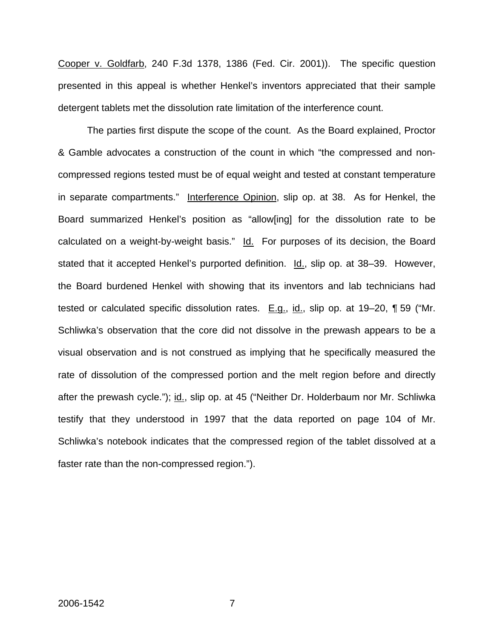Cooper v. Goldfarb, 240 F.3d 1378, 1386 (Fed. Cir. 2001)). The specific question presented in this appeal is whether Henkel's inventors appreciated that their sample detergent tablets met the dissolution rate limitation of the interference count.

The parties first dispute the scope of the count. As the Board explained, Proctor & Gamble advocates a construction of the count in which "the compressed and noncompressed regions tested must be of equal weight and tested at constant temperature in separate compartments." Interference Opinion, slip op. at 38. As for Henkel, the Board summarized Henkel's position as "allow[ing] for the dissolution rate to be calculated on a weight-by-weight basis." Id. For purposes of its decision, the Board stated that it accepted Henkel's purported definition. Id., slip op. at 38–39. However, the Board burdened Henkel with showing that its inventors and lab technicians had tested or calculated specific dissolution rates.  $E.g., id.,$  slip op. at 19–20,  $\P$  59 ("Mr. Schliwka's observation that the core did not dissolve in the prewash appears to be a visual observation and is not construed as implying that he specifically measured the rate of dissolution of the compressed portion and the melt region before and directly after the prewash cycle."); id., slip op. at 45 ("Neither Dr. Holderbaum nor Mr. Schliwka testify that they understood in 1997 that the data reported on page 104 of Mr. Schliwka's notebook indicates that the compressed region of the tablet dissolved at a faster rate than the non-compressed region.").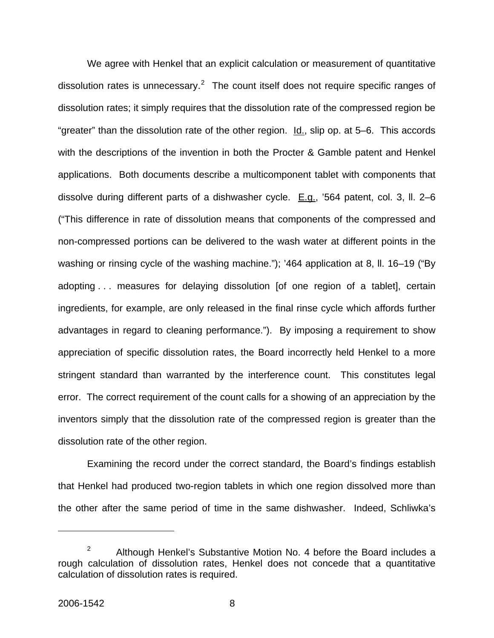We agree with Henkel that an explicit calculation or measurement of quantitative dissolution rates is unnecessary.<sup>[2](#page-8-0)</sup> The count itself does not require specific ranges of dissolution rates; it simply requires that the dissolution rate of the compressed region be "greater" than the dissolution rate of the other region. Id., slip op. at 5–6. This accords with the descriptions of the invention in both the Procter & Gamble patent and Henkel applications. Both documents describe a multicomponent tablet with components that dissolve during different parts of a dishwasher cycle. E.g., '564 patent, col. 3, ll. 2–6 ("This difference in rate of dissolution means that components of the compressed and non-compressed portions can be delivered to the wash water at different points in the washing or rinsing cycle of the washing machine."); '464 application at 8, ll. 16–19 ("By adopting . . . measures for delaying dissolution [of one region of a tablet], certain ingredients, for example, are only released in the final rinse cycle which affords further advantages in regard to cleaning performance."). By imposing a requirement to show appreciation of specific dissolution rates, the Board incorrectly held Henkel to a more stringent standard than warranted by the interference count. This constitutes legal error. The correct requirement of the count calls for a showing of an appreciation by the inventors simply that the dissolution rate of the compressed region is greater than the dissolution rate of the other region.

Examining the record under the correct standard, the Board's findings establish that Henkel had produced two-region tablets in which one region dissolved more than the other after the same period of time in the same dishwasher. Indeed, Schliwka's

 $\overline{a}$ 

<span id="page-8-0"></span><sup>2</sup> Although Henkel's Substantive Motion No. 4 before the Board includes a rough calculation of dissolution rates, Henkel does not concede that a quantitative calculation of dissolution rates is required.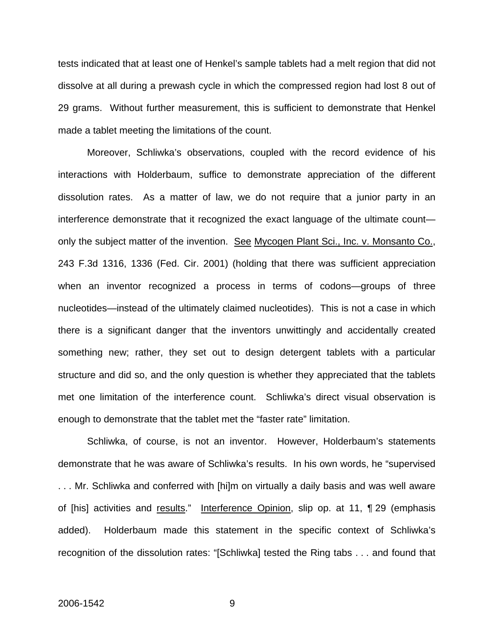tests indicated that at least one of Henkel's sample tablets had a melt region that did not dissolve at all during a prewash cycle in which the compressed region had lost 8 out of 29 grams. Without further measurement, this is sufficient to demonstrate that Henkel made a tablet meeting the limitations of the count.

Moreover, Schliwka's observations, coupled with the record evidence of his interactions with Holderbaum, suffice to demonstrate appreciation of the different dissolution rates. As a matter of law, we do not require that a junior party in an interference demonstrate that it recognized the exact language of the ultimate count only the subject matter of the invention. See Mycogen Plant Sci., Inc. v. Monsanto Co., 243 F.3d 1316, 1336 (Fed. Cir. 2001) (holding that there was sufficient appreciation when an inventor recognized a process in terms of codons—groups of three nucleotides—instead of the ultimately claimed nucleotides). This is not a case in which there is a significant danger that the inventors unwittingly and accidentally created something new; rather, they set out to design detergent tablets with a particular structure and did so, and the only question is whether they appreciated that the tablets met one limitation of the interference count. Schliwka's direct visual observation is enough to demonstrate that the tablet met the "faster rate" limitation.

Schliwka, of course, is not an inventor. However, Holderbaum's statements demonstrate that he was aware of Schliwka's results. In his own words, he "supervised . . . Mr. Schliwka and conferred with [hi]m on virtually a daily basis and was well aware of [his] activities and results." Interference Opinion, slip op. at 11, 1 29 (emphasis added). Holderbaum made this statement in the specific context of Schliwka's recognition of the dissolution rates: "[Schliwka] tested the Ring tabs . . . and found that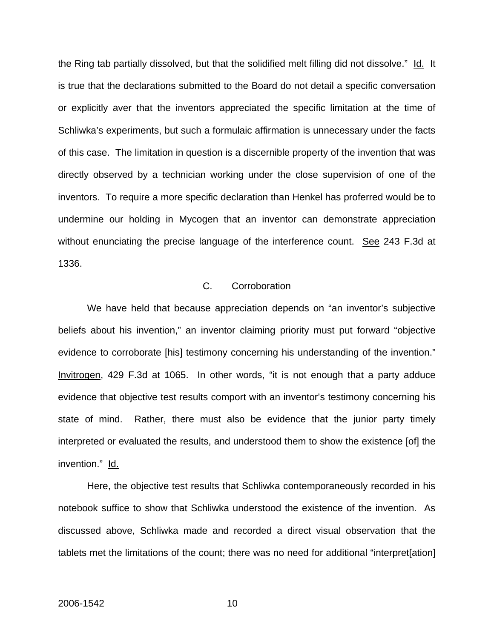the Ring tab partially dissolved, but that the solidified melt filling did not dissolve." Id. It is true that the declarations submitted to the Board do not detail a specific conversation or explicitly aver that the inventors appreciated the specific limitation at the time of Schliwka's experiments, but such a formulaic affirmation is unnecessary under the facts of this case. The limitation in question is a discernible property of the invention that was directly observed by a technician working under the close supervision of one of the inventors. To require a more specific declaration than Henkel has proferred would be to undermine our holding in Mycogen that an inventor can demonstrate appreciation without enunciating the precise language of the interference count. See 243 F.3d at 1336.

## C. Corroboration

We have held that because appreciation depends on "an inventor's subjective beliefs about his invention," an inventor claiming priority must put forward "objective evidence to corroborate [his] testimony concerning his understanding of the invention." Invitrogen, 429 F.3d at 1065. In other words, "it is not enough that a party adduce evidence that objective test results comport with an inventor's testimony concerning his state of mind. Rather, there must also be evidence that the junior party timely interpreted or evaluated the results, and understood them to show the existence [of] the invention." Id.

Here, the objective test results that Schliwka contemporaneously recorded in his notebook suffice to show that Schliwka understood the existence of the invention. As discussed above, Schliwka made and recorded a direct visual observation that the tablets met the limitations of the count; there was no need for additional "interpret[ation]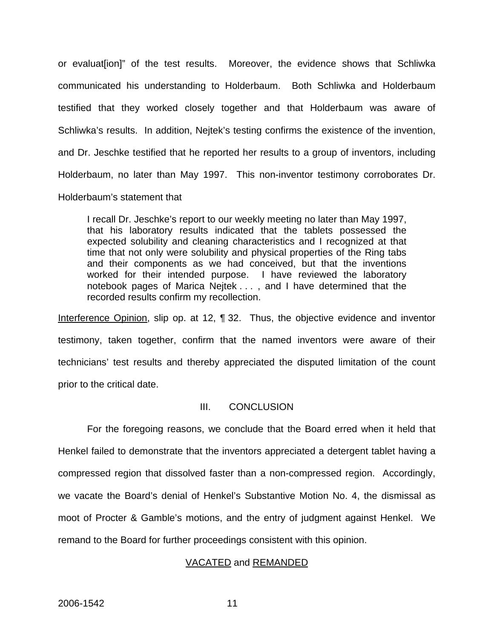or evaluat[ion]" of the test results. Moreover, the evidence shows that Schliwka communicated his understanding to Holderbaum. Both Schliwka and Holderbaum testified that they worked closely together and that Holderbaum was aware of Schliwka's results. In addition, Nejtek's testing confirms the existence of the invention, and Dr. Jeschke testified that he reported her results to a group of inventors, including Holderbaum, no later than May 1997. This non-inventor testimony corroborates Dr. Holderbaum's statement that

I recall Dr. Jeschke's report to our weekly meeting no later than May 1997, that his laboratory results indicated that the tablets possessed the expected solubility and cleaning characteristics and I recognized at that time that not only were solubility and physical properties of the Ring tabs and their components as we had conceived, but that the inventions worked for their intended purpose. I have reviewed the laboratory notebook pages of Marica Nejtek . . . , and I have determined that the recorded results confirm my recollection.

Interference Opinion, slip op. at 12, ¶ 32. Thus, the objective evidence and inventor testimony, taken together, confirm that the named inventors were aware of their technicians' test results and thereby appreciated the disputed limitation of the count prior to the critical date.

## III. CONCLUSION

For the foregoing reasons, we conclude that the Board erred when it held that Henkel failed to demonstrate that the inventors appreciated a detergent tablet having a compressed region that dissolved faster than a non-compressed region. Accordingly, we vacate the Board's denial of Henkel's Substantive Motion No. 4, the dismissal as moot of Procter & Gamble's motions, and the entry of judgment against Henkel. We remand to the Board for further proceedings consistent with this opinion.

## VACATED and REMANDED